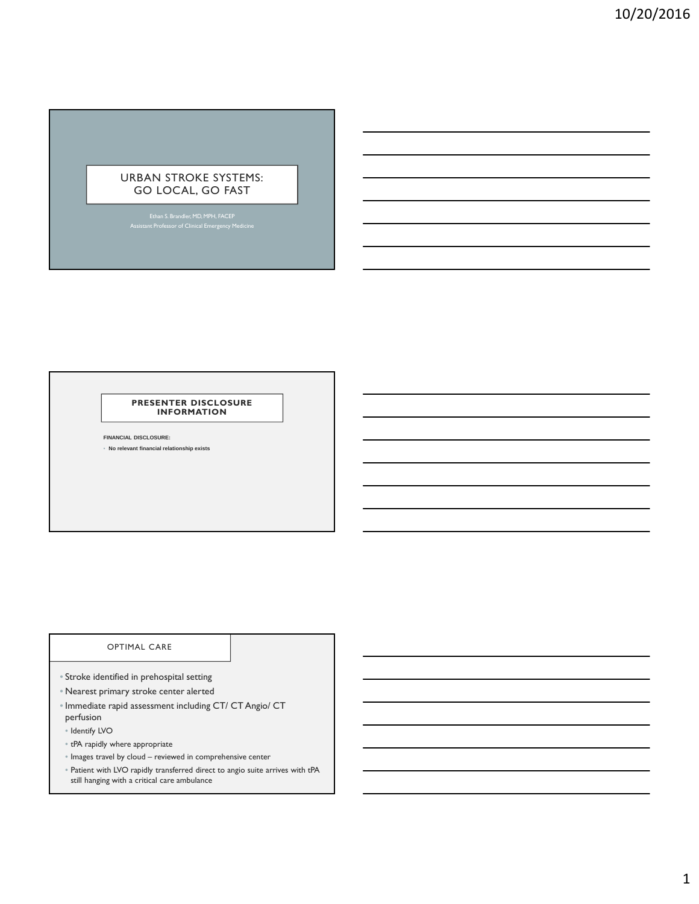# URBAN STROKE SYSTEMS: GO LOCAL, GO FAST

Ethan S. Brandler, MD, MPH, FACEP Assistant Professor of Clinical Emergency Medicine

#### **PRESENTER DISCLOSURE INFORMATION**

**FINANCIAL DISCLOSURE:**

• **No relevant financial relationship exists**

# OPTIMAL CARE

- Stroke identified in prehospital setting
- Nearest primary stroke center alerted
- Immediate rapid assessment including CT/ CT Angio/ CT perfusion
- Identify LVO
- tPA rapidly where appropriate
- Images travel by cloud reviewed in comprehensive center
- Patient with LVO rapidly transferred direct to angio suite arrives with tPA still hanging with a critical care ambulance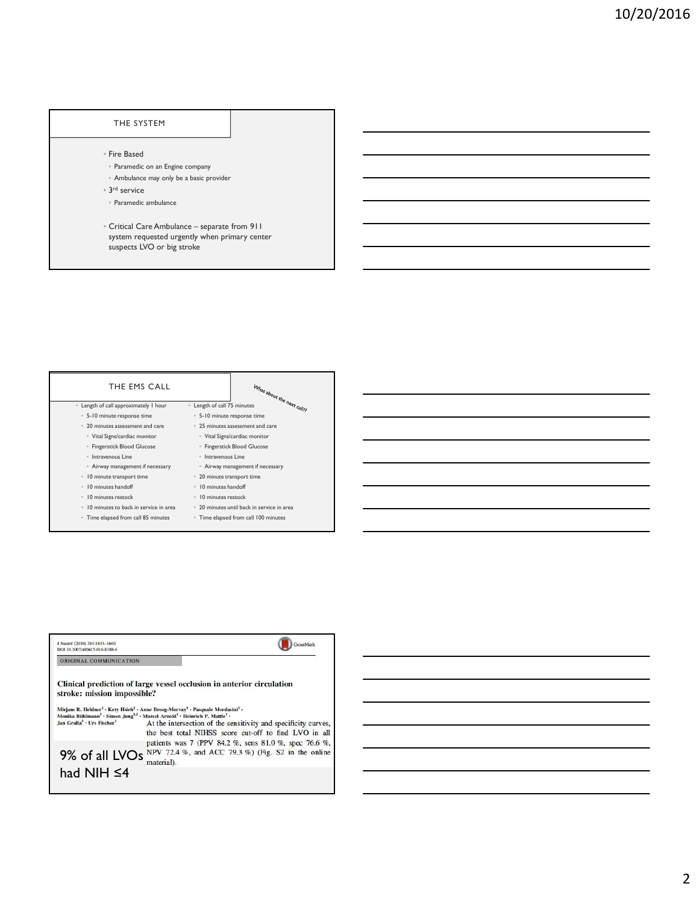### THE SYSTEM

- Fire Based
- Paramedic on an Engine company
- Ambulance may only be a basic provider
- 3 rd service
- Paramedic ambulance
- Critical Care Ambulance separate from 911 system requested urgently when primary center suspects LVO or big stroke



| J Neurol (2016) 263:1633-1640<br>DOI 10.1007/s00415-016-8180-6 |                                                                                                                                                                                                                                                                                                                                    |
|----------------------------------------------------------------|------------------------------------------------------------------------------------------------------------------------------------------------------------------------------------------------------------------------------------------------------------------------------------------------------------------------------------|
| ORIGINAL COMMUNICATION                                         |                                                                                                                                                                                                                                                                                                                                    |
| stroke: mission impossible?                                    | Clinical prediction of large vessel occlusion in anterior circulation<br>Mirjam R. Heldner <sup>1</sup> · Kety Hsieh <sup>2</sup> · Anne Broeg-Morvay <sup>1</sup> · Pasquale Mordasini <sup>2</sup> ·<br>Monika Bühlmann <sup>1</sup> · Simon Jung <sup>12</sup> · Marcel Arnold <sup>1</sup> · Heinrich P. Mattle <sup>1</sup> · |
| Jan Gralla <sup>2</sup> . Urs Fischer <sup>1</sup>             | At the intersection of the sensitivity and specificity curves,<br>the best total NIHSS score cut-off to find LVO in all<br>patients was 7 (PPV 84.2 %, sens 81.0 %, spec 76.6 %,                                                                                                                                                   |
| 9% of all LVOs                                                 | NPV 72.4 %, and ACC 79.3 %) (Fig. S2 in the online<br>material).                                                                                                                                                                                                                                                                   |
| had NIH $\leq$ 4                                               |                                                                                                                                                                                                                                                                                                                                    |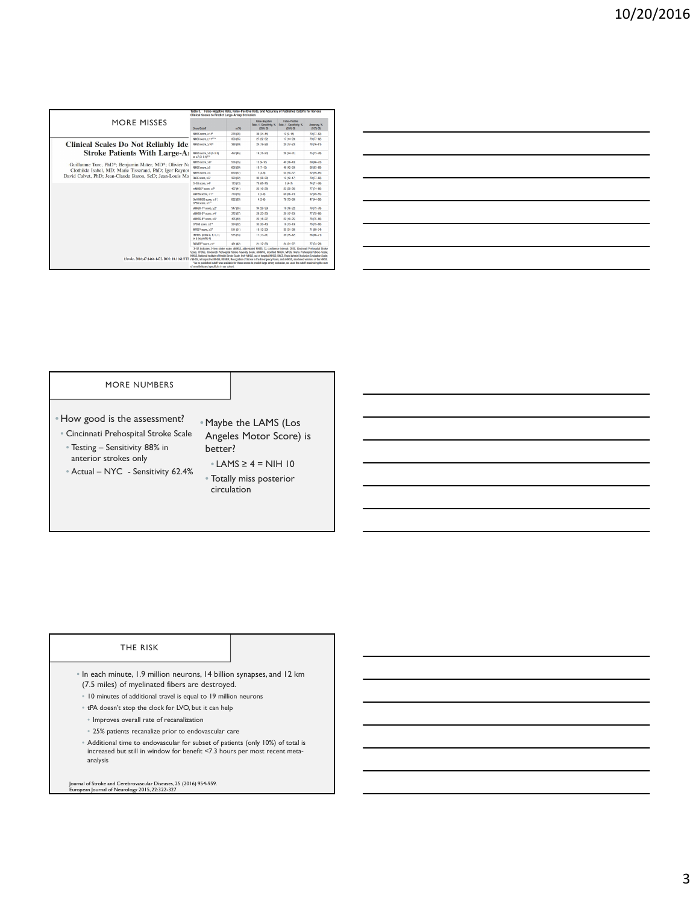| <b>MORE MISSES</b>                                                                                                                                                        |                                                                                                                                                                                                                                                                                                                                                                                                                                                                                                                             |          | False-Negative<br>Rate-1-Sensitivity, % | False-Positive<br>Rate-1-Specificity, % | Accuracy, %   |
|---------------------------------------------------------------------------------------------------------------------------------------------------------------------------|-----------------------------------------------------------------------------------------------------------------------------------------------------------------------------------------------------------------------------------------------------------------------------------------------------------------------------------------------------------------------------------------------------------------------------------------------------------------------------------------------------------------------------|----------|-----------------------------------------|-----------------------------------------|---------------|
|                                                                                                                                                                           | Scora/Cutoff                                                                                                                                                                                                                                                                                                                                                                                                                                                                                                                | n(%)     | (95% C)                                 | (95% CB)                                | (95% CB)      |
|                                                                                                                                                                           | MHSS score, ≥14 <sup>6</sup>                                                                                                                                                                                                                                                                                                                                                                                                                                                                                                | 278 (28) | 39 (34 - 44)                            | $12(9-14)$                              | 79 (77 - 82)  |
|                                                                                                                                                                           | MHSS score, >11 <sup>4771</sup>                                                                                                                                                                                                                                                                                                                                                                                                                                                                                             | 356 (35) | 27 (22 - 32)                            | 17 (14-20)                              | $79(77 - 82)$ |
| <b>Clinical Scales Do Not Reliably Ide</b>                                                                                                                                | MHSS score, >10 <sup>2</sup>                                                                                                                                                                                                                                                                                                                                                                                                                                                                                                | 388 (39) | 24/19-28                                | 20 (17-23)                              | $78(76 - 81)$ |
| <b>Stroke Patients With Large-All</b>                                                                                                                                     | MHSS score, 29 (0-3 h)<br>$\alpha \geq 7.0 - 6.61^{1/10}$                                                                                                                                                                                                                                                                                                                                                                                                                                                                   | 452 (45) | $19(15 - 23)$                           | 28 (24-31)                              | 75 (73-78)    |
| Guillaume Turc, PhD <sup>®</sup> ; Benjamin Maïer, MD <sup>®</sup> ; Olivier N:                                                                                           | MHSS score, >6*                                                                                                                                                                                                                                                                                                                                                                                                                                                                                                             | 556 (55) | 13:09-16                                | 40 (36 - 43)                            | 69.66-72      |
|                                                                                                                                                                           | MHSS score, ≥5                                                                                                                                                                                                                                                                                                                                                                                                                                                                                                              | 606 (60) | $10(7 - 13)$                            | 46 (42-50)                              | 66 83-69      |
| Clothilde Isabel, MD; Marie Tisserand, PhD; Igor Ravnor                                                                                                                   | MHSS score, >4                                                                                                                                                                                                                                                                                                                                                                                                                                                                                                              | 669 (67) | $7(4-9)$                                | 54 (50-57)                              | 62 (59-65)    |
| David Calvet, PhD; Jean-Claude Baron, ScD; Jean-Louis Ma                                                                                                                  | RACE score, >5 <sup>6</sup>                                                                                                                                                                                                                                                                                                                                                                                                                                                                                                 | 320 (32) | 33 (28 - 38)                            | $15(12 - 17)$                           | $79(77 - 82)$ |
|                                                                                                                                                                           | 31-85 sons > 49                                                                                                                                                                                                                                                                                                                                                                                                                                                                                                             | 133 (13) | 70,055-753                              | $5(4 - 7)$                              | $74.01 - 761$ |
|                                                                                                                                                                           | mNHSS <sup>o</sup> score, 27"                                                                                                                                                                                                                                                                                                                                                                                                                                                                                               | 407 (41) | 23 (19 - 28)                            | 23 (20-26)                              | 77 (74-80)    |
|                                                                                                                                                                           | AMESS sense, >197                                                                                                                                                                                                                                                                                                                                                                                                                                                                                                           | 779 (78) | $50 - 81$                               | 09 (66-73)                              | $52(49 - 55)$ |
|                                                                                                                                                                           | OcH-NHSS score, 21 <sup>11</sup> ;<br>OPSS score, >1 <sup>19</sup>                                                                                                                                                                                                                                                                                                                                                                                                                                                          | 832 (83) | $4(2-6)$                                | 76 (73-80)                              | 47 (44 - 50)  |
|                                                                                                                                                                           | sNHSS-1 <sup>16</sup> score, ≥2"                                                                                                                                                                                                                                                                                                                                                                                                                                                                                            | 347 (35) | 34 (29 - 39)                            | 19 (16-22)                              | 76 (73 - 79)  |
|                                                                                                                                                                           | sNHSS-5 <sup>14</sup> score, 24°                                                                                                                                                                                                                                                                                                                                                                                                                                                                                            | 372 (37) | 28 (23 - 33)                            | 20 (17-23)                              | $77.05 - 80.$ |
|                                                                                                                                                                           | sNHSS-8% score, >6*                                                                                                                                                                                                                                                                                                                                                                                                                                                                                                         | 405 (40) | 23/18-27                                | 22 (19-25)                              | 78 (75-80)    |
|                                                                                                                                                                           | CPSSS score, >2 <sup>14</sup>                                                                                                                                                                                                                                                                                                                                                                                                                                                                                               | 324 (32) | $35(30-40)$                             | 16 (13-19)                              | 78 (75 -80)   |
|                                                                                                                                                                           | MPSS <sup>15</sup> score, >3°                                                                                                                                                                                                                                                                                                                                                                                                                                                                                               | 511 (51) | 16 (12-20)                              | 35.01-38                                | 71.69-74      |
|                                                                                                                                                                           | rNHSS: profile A. B. C. D.<br>or E his profile Fig                                                                                                                                                                                                                                                                                                                                                                                                                                                                          | 535 (53) | 17 (13-21)                              | 39 (35 - 42)                            | 68 (66-71)    |
|                                                                                                                                                                           | ROSER <sup>10</sup> score, >4"                                                                                                                                                                                                                                                                                                                                                                                                                                                                                              | 421 (42) | $21(17 - 26)$                           | $24(21 - 27)$                           | $77.04 - 79$  |
| (Stroke, 2016;47:1466-1472, DOI: 10.1161/STF milliSS, retrospective NIHSS, ROSER, Recognition of Stroke in the Emergency Room; and sNHSS, stortened versions of the NHSS. | 3-SS indicates 3-ltem stroke scale: aNHSS, abbreviated NHSS; CL confidence interval: CPSS, Cincinnati Prehospital Stroke<br>Scale: CPSSS, Cincinnati Prehospital Stroke Severity Scale: mMHSS, modified NHSS; MPSS, Maria Prehospital Stroke Scale:<br>MHSS, National Institute of Health Stroke Scale: Och-NHSS, out of hospital NHSS: RACE, Rapid Arterial Occlusion Evaluation Scale:<br>"As no published cutoff was available for these scores to predict large-artery occlusion, we used the cutoff maximizing the sum |          |                                         |                                         |               |

|                                                                                                                       |  | $\overline{\phantom{a}}$ . The contract of $\overline{\phantom{a}}$ |
|-----------------------------------------------------------------------------------------------------------------------|--|---------------------------------------------------------------------|
| <u> 1989 - Johann Stoff, deutscher Stoffen und der Stoffen und der Stoffen und der Stoffen und der Stoffen und de</u> |  |                                                                     |
| <u> 1989 - Johann Barn, amerikan bernama di sebagai bernama dan bernama di sebagai bernama dalam bernama dalam b</u>  |  |                                                                     |
| <u> 1989 - Johann Stoff, deutscher Stoff, der Stoff, der Stoff, der Stoff, der Stoff, der Stoff, der Stoff, der S</u> |  |                                                                     |
| <u> 1980 - Andrea Brasil, amerikan basar basa dan basa dan basa dan basa dan basa dan basa dan basa dan basa dan</u>  |  | $\overline{\phantom{a}}$                                            |
| <u> 1989 - Johann Barn, mars ann an t-Amhainn an t-Amhainn an t-Amhainn an t-Amhainn an t-Amhainn an t-Amhainn an</u> |  |                                                                     |
|                                                                                                                       |  |                                                                     |

 $\overline{a}$ 

#### MORE NUMBERS

- How good is the assessment? • Cincinnati Prehospital Stroke Scale
	- Testing Sensitivity 88% in anterior strokes only
	- Actual NYC Sensitivity 62.4%
- •Maybe the LAMS (Los Angeles Motor Score) is better?
- $\triangle$  LAMS  $\geq$  4 = NIH 10
- Totally miss posterior circulation

### THE RISK

- In each minute, 1.9 million neurons, 14 billion synapses, and 12 km (7.5 miles) of myelinated fibers are destroyed.
- 10 minutes of additional travel is equal to 19 million neurons
- tPA doesn't stop the clock for LVO, but it can help
- Improves overall rate of recanalization
- 25% patients recanalize prior to endovascular care
- Additional time to endovascular for subset of patients (only 10%) of total is increased but still in window for benefit <7.3 hours per most recent metaanalysis

Journal of Stroke and Cerebrovascular Diseases, 25 (2016) 954-959. European Journal of Neurology 2015, 22:322-327